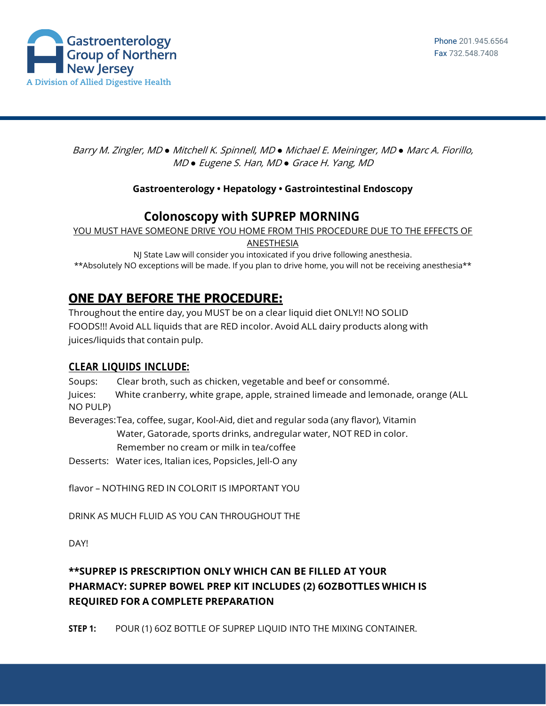

Barry M. Zingler, MD *●* Mitchell K. Spinnell, MD *●* Michael E. Meininger, MD *●* Marc A. Fiorillo, MD *●* Eugene S. Han, MD *●* Grace H. Yang, MD

### **Gastroenterology • Hepatology • Gastrointestinal Endoscopy**

## **Colonoscopy with SUPREP MORNING**

YOU MUST HAVE SOMEONE DRIVE YOU HOME FROM THIS PROCEDURE DUE TO THE EFFECTS OF

ANESTHESIA

NJ State Law will consider you intoxicated if you drive following anesthesia. \*\*Absolutely NO exceptions will be made. If you plan to drive home, you will not be receiving anesthesia\*\*

# **ONE DAY BEFORE THE PROCEDURE:**

Throughout the entire day, you MUST be on a clear liquid diet ONLY!! NO SOLID FOODS!!! Avoid ALL liquids that are RED incolor. Avoid ALL dairy products along with juices/liquids that contain pulp.

#### **CLEAR LIQUIDS INCLUDE:**

Soups: Clear broth, such as chicken, vegetable and beef or consommé.

Juices: White cranberry, white grape, apple, strained limeade and lemonade, orange (ALL NO PULP)

Beverages:Tea, coffee, sugar, Kool-Aid, diet and regular soda (any flavor), Vitamin Water, Gatorade, sports drinks, andregular water, NOT RED in color. Remember no cream or milk in tea/coffee

Desserts: Water ices, Italian ices, Popsicles, Jell-O any

flavor – NOTHING RED IN COLORIT IS IMPORTANT YOU

DRINK AS MUCH FLUID AS YOU CAN THROUGHOUT THE

DAY!

### **\*\*SUPREP IS PRESCRIPTION ONLY WHICH CAN BE FILLED AT YOUR PHARMACY: SUPREP BOWEL PREP KIT INCLUDES (2) 6OZBOTTLES WHICH IS REQUIRED FOR A COMPLETE PREPARATION**

**STEP 1:** POUR (1) 6OZ BOTTLE OF SUPREP LIQUID INTO THE MIXING CONTAINER.